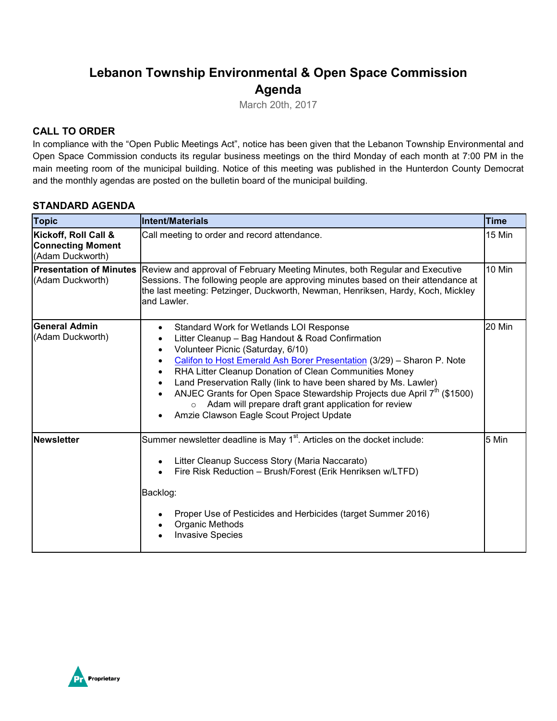# **Lebanon Township Environmental & Open Space Commission Agenda**

March 20th, 2017

### **CALL TO ORDER**

In compliance with the "Open Public Meetings Act", notice has been given that the Lebanon Township Environmental and Open Space Commission conducts its regular business meetings on the third Monday of each month at 7:00 PM in the main meeting room of the municipal building. Notice of this meeting was published in the Hunterdon County Democrat and the monthly agendas are posted on the bulletin board of the municipal building.

### **STANDARD AGENDA**

| <b>Topic</b>                                                         | <b>Intent/Materials</b>                                                                                                                                                                                                                                                                                                                                                                                                                                                                                                                                                  | <b>Time</b>   |
|----------------------------------------------------------------------|--------------------------------------------------------------------------------------------------------------------------------------------------------------------------------------------------------------------------------------------------------------------------------------------------------------------------------------------------------------------------------------------------------------------------------------------------------------------------------------------------------------------------------------------------------------------------|---------------|
| Kickoff, Roll Call &<br><b>Connecting Moment</b><br>(Adam Duckworth) | Call meeting to order and record attendance.                                                                                                                                                                                                                                                                                                                                                                                                                                                                                                                             | 15 Min        |
| <b>Presentation of Minutes</b><br>(Adam Duckworth)                   | Review and approval of February Meeting Minutes, both Regular and Executive<br>Sessions. The following people are approving minutes based on their attendance at<br>the last meeting: Petzinger, Duckworth, Newman, Henriksen, Hardy, Koch, Mickley<br>and Lawler.                                                                                                                                                                                                                                                                                                       | <b>10 Min</b> |
| <b>General Admin</b><br>(Adam Duckworth)                             | Standard Work for Wetlands LOI Response<br>$\bullet$<br>Litter Cleanup - Bag Handout & Road Confirmation<br>$\bullet$<br>Volunteer Picnic (Saturday, 6/10)<br>Califon to Host Emerald Ash Borer Presentation (3/29) - Sharon P. Note<br>RHA Litter Cleanup Donation of Clean Communities Money<br>Land Preservation Rally (link to have been shared by Ms. Lawler)<br>ANJEC Grants for Open Space Stewardship Projects due April 7 <sup>th</sup> (\$1500)<br>Adam will prepare draft grant application for review<br>$\circ$<br>Amzie Clawson Eagle Scout Project Update | 20 Min        |
| <b>Newsletter</b>                                                    | Summer newsletter deadline is May 1 <sup>st</sup> . Articles on the docket include:<br>Litter Cleanup Success Story (Maria Naccarato)<br>$\bullet$<br>Fire Risk Reduction - Brush/Forest (Erik Henriksen w/LTFD)<br>Backlog:<br>Proper Use of Pesticides and Herbicides (target Summer 2016)<br>Organic Methods<br><b>Invasive Species</b>                                                                                                                                                                                                                               | 5 Min         |

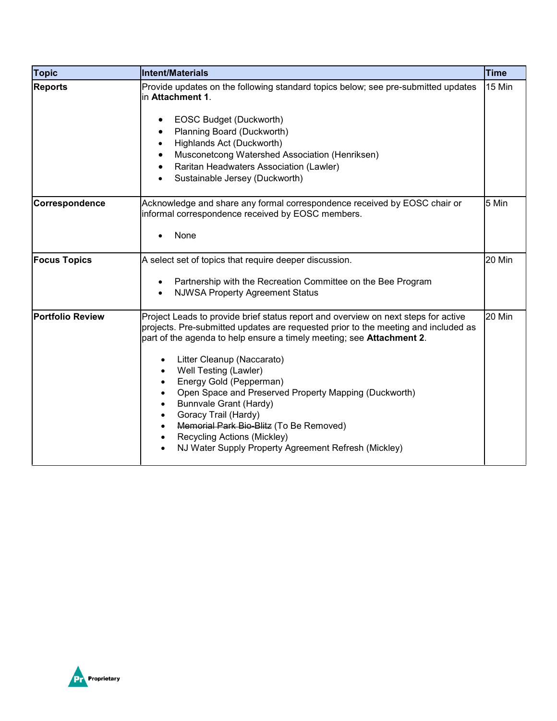| <b>Topic</b>            | <b>Intent/Materials</b>                                                                                                                                                                                                                                                                                                                                                                                                                                                                                                                                                                               | <b>Time</b> |
|-------------------------|-------------------------------------------------------------------------------------------------------------------------------------------------------------------------------------------------------------------------------------------------------------------------------------------------------------------------------------------------------------------------------------------------------------------------------------------------------------------------------------------------------------------------------------------------------------------------------------------------------|-------------|
| <b>Reports</b>          | Provide updates on the following standard topics below; see pre-submitted updates<br>in Attachment 1.<br>EOSC Budget (Duckworth)<br>Planning Board (Duckworth)<br>Highlands Act (Duckworth)<br>$\bullet$<br>Musconetcong Watershed Association (Henriksen)<br>Raritan Headwaters Association (Lawler)<br>Sustainable Jersey (Duckworth)                                                                                                                                                                                                                                                               | 15 Min      |
| Correspondence          | Acknowledge and share any formal correspondence received by EOSC chair or<br>informal correspondence received by EOSC members.<br>None                                                                                                                                                                                                                                                                                                                                                                                                                                                                | 5 Min       |
| <b>Focus Topics</b>     | A select set of topics that require deeper discussion.<br>Partnership with the Recreation Committee on the Bee Program<br><b>NJWSA Property Agreement Status</b>                                                                                                                                                                                                                                                                                                                                                                                                                                      | 20 Min      |
| <b>Portfolio Review</b> | Project Leads to provide brief status report and overview on next steps for active<br>projects. Pre-submitted updates are requested prior to the meeting and included as<br>part of the agenda to help ensure a timely meeting; see <b>Attachment 2</b> .<br>Litter Cleanup (Naccarato)<br>Well Testing (Lawler)<br>Energy Gold (Pepperman)<br>Open Space and Preserved Property Mapping (Duckworth)<br>Bunnvale Grant (Hardy)<br>Goracy Trail (Hardy)<br>Memorial Park Bio-Blitz (To Be Removed)<br>Recycling Actions (Mickley)<br>$\bullet$<br>NJ Water Supply Property Agreement Refresh (Mickley) | 20 Min      |

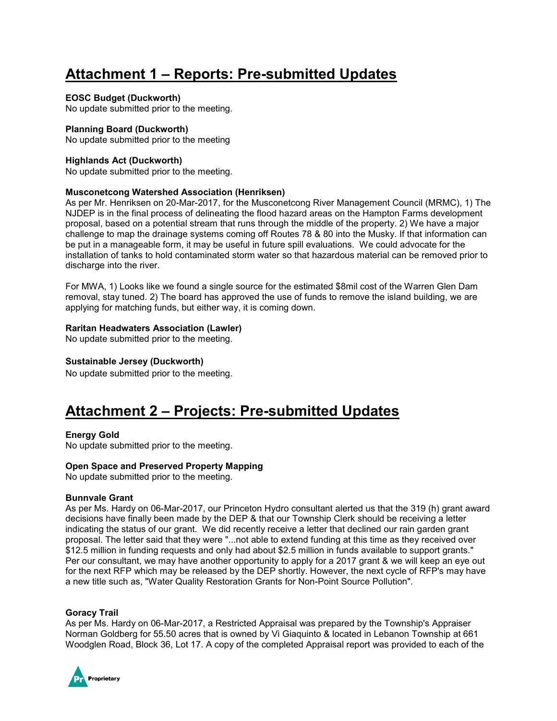# **Attachment 1 – Reports: Pre-submitted Updates**

### **EOSC Budget (Duckworth)**

No update submitted prior to the meeting.

### **Planning Board (Duckworth)**

No update submitted prior to the meeting

### **Highlands Act (Duckworth)**

No update submitted prior to the meeting.

### **Musconetcong Watershed Association (Henriksen)**

As per Mr. Henriksen on 20-Mar-2017, for the Musconetcong River Management Council (MRMC), 1) The NJDEP is in the final process of delineating the flood hazard areas on the Hampton Farms development proposal, based on a potential stream that runs through the middle of the property. 2) We have a major challenge to map the drainage systems coming off Routes 78 & 80 into the Musky. If that information can be put in a manageable form, it may be useful in future spill evaluations. We could advocate for the installation of tanks to hold contaminated storm water so that hazardous material can be removed prior to discharge into the river.

For MWA, 1) Looks like we found a single source for the estimated \$8mil cost of the Warren Glen Dam removal, stay tuned. 2) The board has approved the use of funds to remove the island building, we are applying for matching funds, but either way, it is coming down.

### **Raritan Headwaters Association (Lawler)**

No update submitted prior to the meeting.

### **Sustainable Jersey (Duckworth)**

No update submitted prior to the meeting.

## **Attachment 2 – Projects: Pre-submitted Updates**

### **Energy Gold**

No update submitted prior to the meeting.

### **Open Space and Preserved Property Mapping**

No update submitted prior to the meeting.

### **Bunnvale Grant**

As per Ms. Hardy on 06-Mar-2017, our Princeton Hydro consultant alerted us that the 319 (h) grant award decisions have finally been made by the DEP & that our Township Clerk should be receiving a letter indicating the status of our grant. We did recently receive a letter that declined our rain garden grant proposal. The letter said that they were "...not able to extend funding at this time as they received over \$12.5 million in funding requests and only had about \$2.5 million in funds available to support grants." Per our consultant, we may have another opportunity to apply for a 2017 grant & we will keep an eye out for the next RFP which may be released by the DEP shortly. However, the next cycle of RFP's may have a new title such as, "Water Quality Restoration Grants for Non-Point Source Pollution".

### **Goracy Trail**

As per Ms. Hardy on 06-Mar-2017, a Restricted Appraisal was prepared by the Township's Appraiser Norman Goldberg for 55.50 acres that is owned by Vi Giaquinto & located in Lebanon Township at 661 Woodglen Road, Block 36, Lot 17. A copy of the completed Appraisal report was provided to each of the

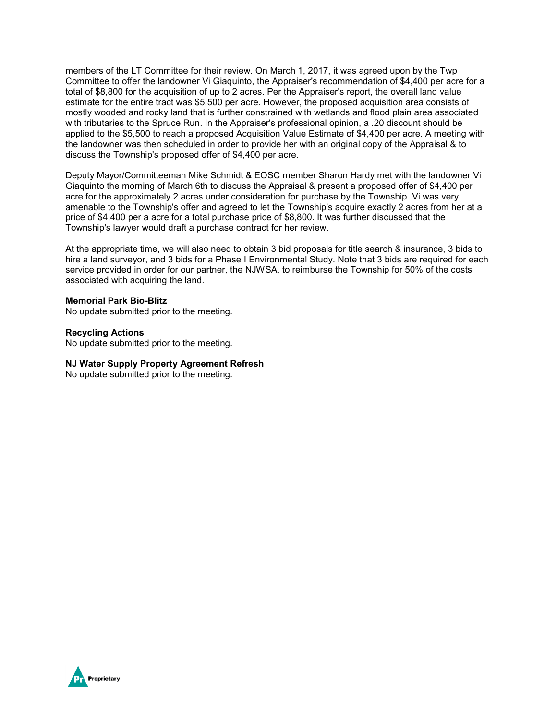members of the LT Committee for their review. On March 1, 2017, it was agreed upon by the Twp Committee to offer the landowner Vi Giaquinto, the Appraiser's recommendation of \$4,400 per acre for a total of \$8,800 for the acquisition of up to 2 acres. Per the Appraiser's report, the overall land value estimate for the entire tract was \$5,500 per acre. However, the proposed acquisition area consists of mostly wooded and rocky land that is further constrained with wetlands and flood plain area associated with tributaries to the Spruce Run. In the Appraiser's professional opinion, a .20 discount should be applied to the \$5,500 to reach a proposed Acquisition Value Estimate of \$4,400 per acre. A meeting with the landowner was then scheduled in order to provide her with an original copy of the Appraisal & to discuss the Township's proposed offer of \$4,400 per acre.

Deputy Mayor/Committeeman Mike Schmidt & EOSC member Sharon Hardy met with the landowner Vi Giaquinto the morning of March 6th to discuss the Appraisal & present a proposed offer of \$4,400 per acre for the approximately 2 acres under consideration for purchase by the Township. Vi was very amenable to the Township's offer and agreed to let the Township's acquire exactly 2 acres from her at a price of \$4,400 per a acre for a total purchase price of \$8,800. It was further discussed that the Township's lawyer would draft a purchase contract for her review.

At the appropriate time, we will also need to obtain 3 bid proposals for title search & insurance, 3 bids to hire a land surveyor, and 3 bids for a Phase I Environmental Study. Note that 3 bids are required for each service provided in order for our partner, the NJWSA, to reimburse the Township for 50% of the costs associated with acquiring the land.

#### **Memorial Park Bio-Blitz**

No update submitted prior to the meeting.

**Recycling Actions** No update submitted prior to the meeting.

### **NJ Water Supply Property Agreement Refresh**

No update submitted prior to the meeting.

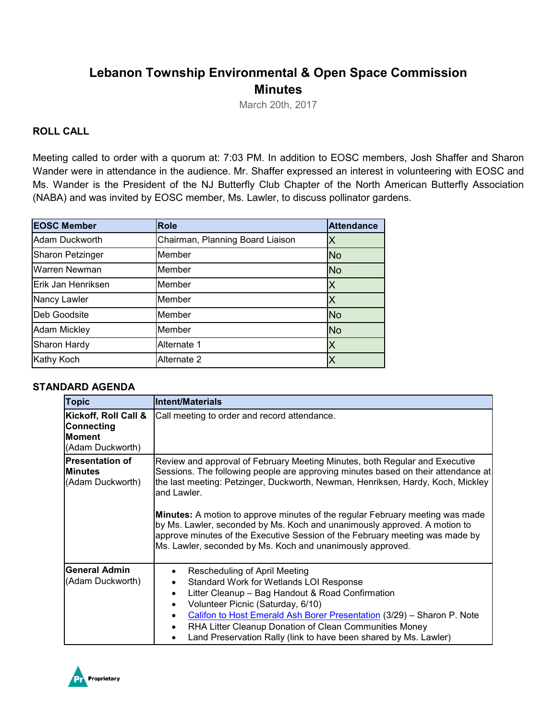## **Lebanon Township Environmental & Open Space Commission Minutes**

March 20th, 2017

### **ROLL CALL**

Meeting called to order with a quorum at: 7:03 PM. In addition to EOSC members, Josh Shaffer and Sharon Wander were in attendance in the audience. Mr. Shaffer expressed an interest in volunteering with EOSC and Ms. Wander is the President of the NJ Butterfly Club Chapter of the North American Butterfly Association (NABA) and was invited by EOSC member, Ms. Lawler, to discuss pollinator gardens.

| <b>EOSC Member</b>      | <b>Role</b>                      | <b>Attendance</b> |
|-------------------------|----------------------------------|-------------------|
| Adam Duckworth          | Chairman, Planning Board Liaison |                   |
| <b>Sharon Petzinger</b> | Member                           | <b>No</b>         |
| Warren Newman           | <b>Member</b>                    | <b>No</b>         |
| Erik Jan Henriksen      | Member                           |                   |
| Nancy Lawler            | <b>IMember</b>                   |                   |
| Deb Goodsite            | Member                           | <b>No</b>         |
| <b>Adam Mickley</b>     | <b>Member</b>                    | No                |
| Sharon Hardy            | Alternate 1                      |                   |
| Kathy Koch              | Alternate 2                      |                   |

### **STANDARD AGENDA**

| <b>Topic</b>                                                            | <b>Intent/Materials</b>                                                                                                                                                                                                                                                                                                                                                                                                                                                                                                                                                               |
|-------------------------------------------------------------------------|---------------------------------------------------------------------------------------------------------------------------------------------------------------------------------------------------------------------------------------------------------------------------------------------------------------------------------------------------------------------------------------------------------------------------------------------------------------------------------------------------------------------------------------------------------------------------------------|
| Kickoff, Roll Call &<br>Connecting<br><b>Moment</b><br>(Adam Duckworth) | Call meeting to order and record attendance.                                                                                                                                                                                                                                                                                                                                                                                                                                                                                                                                          |
| Presentation of<br><b>Minutes</b><br>(Adam Duckworth)                   | Review and approval of February Meeting Minutes, both Regular and Executive<br>Sessions. The following people are approving minutes based on their attendance at<br>the last meeting: Petzinger, Duckworth, Newman, Henriksen, Hardy, Koch, Mickley<br>and Lawler.<br><b>Minutes:</b> A motion to approve minutes of the regular February meeting was made<br>by Ms. Lawler, seconded by Ms. Koch and unanimously approved. A motion to<br>approve minutes of the Executive Session of the February meeting was made by<br>Ms. Lawler, seconded by Ms. Koch and unanimously approved. |
| <b>General Admin</b><br>(Adam Duckworth)                                | Rescheduling of April Meeting<br>$\bullet$<br>Standard Work for Wetlands LOI Response<br>$\bullet$<br>Litter Cleanup - Bag Handout & Road Confirmation<br>$\bullet$<br>Volunteer Picnic (Saturday, 6/10)<br>$\bullet$<br>Califon to Host Emerald Ash Borer Presentation (3/29) - Sharon P. Note<br>RHA Litter Cleanup Donation of Clean Communities Money<br>$\bullet$<br>Land Preservation Rally (link to have been shared by Ms. Lawler)                                                                                                                                            |

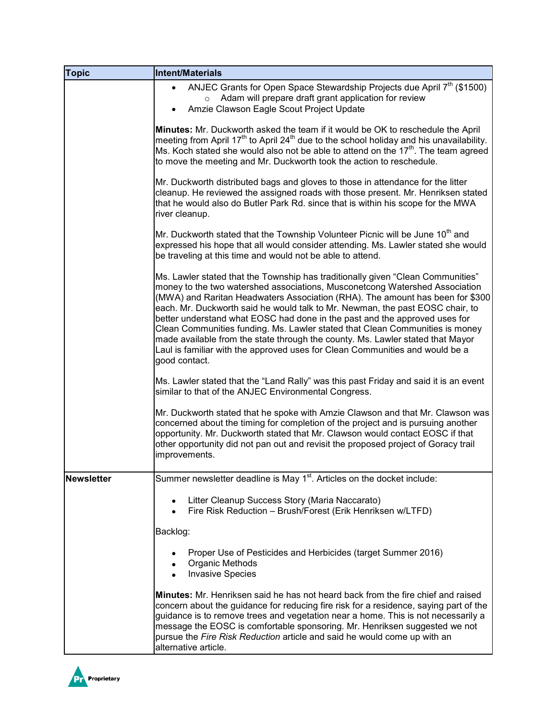| <b>Topic</b>      | <b>Intent/Materials</b>                                                                                                                                                                                                                                                                                                                                                                                                                                                                                                                                                                                                                                                           |
|-------------------|-----------------------------------------------------------------------------------------------------------------------------------------------------------------------------------------------------------------------------------------------------------------------------------------------------------------------------------------------------------------------------------------------------------------------------------------------------------------------------------------------------------------------------------------------------------------------------------------------------------------------------------------------------------------------------------|
|                   | ANJEC Grants for Open Space Stewardship Projects due April 7 <sup>th</sup> (\$1500)<br>Adam will prepare draft grant application for review<br>$\circ$<br>Amzie Clawson Eagle Scout Project Update                                                                                                                                                                                                                                                                                                                                                                                                                                                                                |
|                   | Minutes: Mr. Duckworth asked the team if it would be OK to reschedule the April<br>meeting from April 17 <sup>th</sup> to April 24 <sup>th</sup> due to the school holiday and his unavailability.<br>Ms. Koch stated she would also not be able to attend on the 17 <sup>th</sup> . The team agreed<br>to move the meeting and Mr. Duckworth took the action to reschedule.                                                                                                                                                                                                                                                                                                      |
|                   | Mr. Duckworth distributed bags and gloves to those in attendance for the litter<br>cleanup. He reviewed the assigned roads with those present. Mr. Henriksen stated<br>that he would also do Butler Park Rd. since that is within his scope for the MWA<br>river cleanup.                                                                                                                                                                                                                                                                                                                                                                                                         |
|                   | Mr. Duckworth stated that the Township Volunteer Picnic will be June 10 <sup>th</sup> and<br>expressed his hope that all would consider attending. Ms. Lawler stated she would<br>be traveling at this time and would not be able to attend.                                                                                                                                                                                                                                                                                                                                                                                                                                      |
|                   | Ms. Lawler stated that the Township has traditionally given "Clean Communities"<br>money to the two watershed associations, Musconetcong Watershed Association<br>(MWA) and Raritan Headwaters Association (RHA). The amount has been for \$300<br>each. Mr. Duckworth said he would talk to Mr. Newman, the past EOSC chair, to<br>better understand what EOSC had done in the past and the approved uses for<br>Clean Communities funding. Ms. Lawler stated that Clean Communities is money<br>made available from the state through the county. Ms. Lawler stated that Mayor<br>Laul is familiar with the approved uses for Clean Communities and would be a<br>good contact. |
|                   | Ms. Lawler stated that the "Land Rally" was this past Friday and said it is an event<br>similar to that of the ANJEC Environmental Congress.                                                                                                                                                                                                                                                                                                                                                                                                                                                                                                                                      |
|                   | Mr. Duckworth stated that he spoke with Amzie Clawson and that Mr. Clawson was<br>concerned about the timing for completion of the project and is pursuing another<br>opportunity. Mr. Duckworth stated that Mr. Clawson would contact EOSC if that<br>other opportunity did not pan out and revisit the proposed project of Goracy trail<br>improvements.                                                                                                                                                                                                                                                                                                                        |
| <b>Newsletter</b> | Summer newsletter deadline is May 1 <sup>st</sup> . Articles on the docket include:                                                                                                                                                                                                                                                                                                                                                                                                                                                                                                                                                                                               |
|                   | Litter Cleanup Success Story (Maria Naccarato)<br>Fire Risk Reduction - Brush/Forest (Erik Henriksen w/LTFD)                                                                                                                                                                                                                                                                                                                                                                                                                                                                                                                                                                      |
|                   | Backlog:                                                                                                                                                                                                                                                                                                                                                                                                                                                                                                                                                                                                                                                                          |
|                   | Proper Use of Pesticides and Herbicides (target Summer 2016)<br>Organic Methods<br><b>Invasive Species</b>                                                                                                                                                                                                                                                                                                                                                                                                                                                                                                                                                                        |
|                   | <b>Minutes:</b> Mr. Henriksen said he has not heard back from the fire chief and raised<br>concern about the guidance for reducing fire risk for a residence, saying part of the<br>guidance is to remove trees and vegetation near a home. This is not necessarily a<br>message the EOSC is comfortable sponsoring. Mr. Henriksen suggested we not<br>pursue the Fire Risk Reduction article and said he would come up with an<br>alternative article.                                                                                                                                                                                                                           |

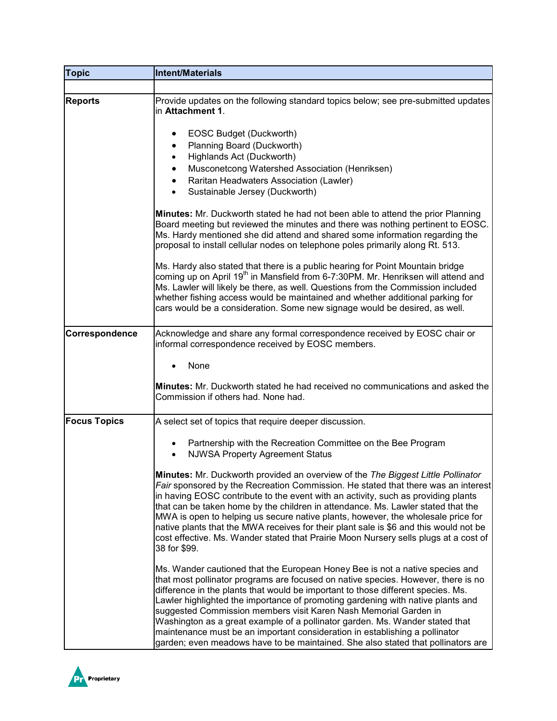| <b>Topic</b>        | <b>Intent/Materials</b>                                                                                                                                                                                                                                                                                                                                                                                                                                                                                                                                                                                                                                         |
|---------------------|-----------------------------------------------------------------------------------------------------------------------------------------------------------------------------------------------------------------------------------------------------------------------------------------------------------------------------------------------------------------------------------------------------------------------------------------------------------------------------------------------------------------------------------------------------------------------------------------------------------------------------------------------------------------|
|                     |                                                                                                                                                                                                                                                                                                                                                                                                                                                                                                                                                                                                                                                                 |
| <b>Reports</b>      | Provide updates on the following standard topics below; see pre-submitted updates<br>in Attachment 1.                                                                                                                                                                                                                                                                                                                                                                                                                                                                                                                                                           |
|                     | EOSC Budget (Duckworth)<br>Planning Board (Duckworth)<br>$\bullet$<br>Highlands Act (Duckworth)<br>٠<br>Musconetcong Watershed Association (Henriksen)<br>Raritan Headwaters Association (Lawler)<br>Sustainable Jersey (Duckworth)                                                                                                                                                                                                                                                                                                                                                                                                                             |
|                     | <b>Minutes:</b> Mr. Duckworth stated he had not been able to attend the prior Planning<br>Board meeting but reviewed the minutes and there was nothing pertinent to EOSC.<br>Ms. Hardy mentioned she did attend and shared some information regarding the<br>proposal to install cellular nodes on telephone poles primarily along Rt. 513.                                                                                                                                                                                                                                                                                                                     |
|                     | Ms. Hardy also stated that there is a public hearing for Point Mountain bridge<br>coming up on April 19 <sup>th</sup> in Mansfield from 6-7:30PM. Mr. Henriksen will attend and<br>Ms. Lawler will likely be there, as well. Questions from the Commission included<br>whether fishing access would be maintained and whether additional parking for<br>cars would be a consideration. Some new signage would be desired, as well.                                                                                                                                                                                                                              |
| Correspondence      | Acknowledge and share any formal correspondence received by EOSC chair or<br>informal correspondence received by EOSC members.                                                                                                                                                                                                                                                                                                                                                                                                                                                                                                                                  |
|                     | None                                                                                                                                                                                                                                                                                                                                                                                                                                                                                                                                                                                                                                                            |
|                     | <b>Minutes:</b> Mr. Duckworth stated he had received no communications and asked the<br>Commission if others had. None had.                                                                                                                                                                                                                                                                                                                                                                                                                                                                                                                                     |
| <b>Focus Topics</b> | A select set of topics that require deeper discussion.                                                                                                                                                                                                                                                                                                                                                                                                                                                                                                                                                                                                          |
|                     | Partnership with the Recreation Committee on the Bee Program<br><b>NJWSA Property Agreement Status</b>                                                                                                                                                                                                                                                                                                                                                                                                                                                                                                                                                          |
|                     | Minutes: Mr. Duckworth provided an overview of the The Biggest Little Pollinator<br>Fair sponsored by the Recreation Commission. He stated that there was an interest<br>in having EOSC contribute to the event with an activity, such as providing plants<br>that can be taken home by the children in attendance. Ms. Lawler stated that the<br>MWA is open to helping us secure native plants, however, the wholesale price for<br>native plants that the MWA receives for their plant sale is \$6 and this would not be<br>cost effective. Ms. Wander stated that Prairie Moon Nursery sells plugs at a cost of<br>38 for \$99.                             |
|                     | Ms. Wander cautioned that the European Honey Bee is not a native species and<br>that most pollinator programs are focused on native species. However, there is no<br>difference in the plants that would be important to those different species. Ms.<br>Lawler highlighted the importance of promoting gardening with native plants and<br>suggested Commission members visit Karen Nash Memorial Garden in<br>Washington as a great example of a pollinator garden. Ms. Wander stated that<br>maintenance must be an important consideration in establishing a pollinator<br>garden; even meadows have to be maintained. She also stated that pollinators are |